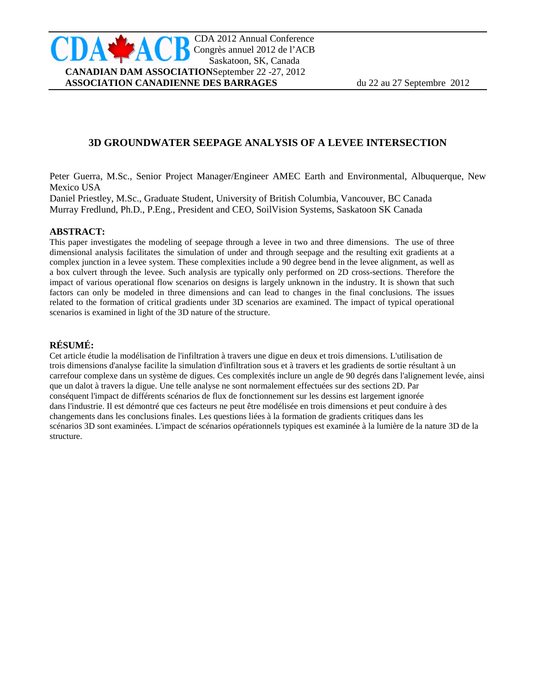# **3D GROUNDWATER SEEPAGE ANALYSIS OF A LEVEE INTERSECTION**

Peter Guerra, M.Sc., Senior Project Manager/Engineer AMEC Earth and Environmental, Albuquerque, New Mexico USA

Daniel Priestley, M.Sc., Graduate Student, University of British Columbia, Vancouver, BC Canada Murray Fredlund, Ph.D., P.Eng., President and CEO, SoilVision Systems, Saskatoon SK Canada

### **ABSTRACT:**

This paper investigates the modeling of seepage through a levee in two and three dimensions. The use of three dimensional analysis facilitates the simulation of under and through seepage and the resulting exit gradients at a complex junction in a levee system. These complexities include a 90 degree bend in the levee alignment, as well as a box culvert through the levee. Such analysis are typically only performed on 2D cross-sections. Therefore the impact of various operational flow scenarios on designs is largely unknown in the industry. It is shown that such factors can only be modeled in three dimensions and can lead to changes in the final conclusions. The issues related to the formation of critical gradients under 3D scenarios are examined. The impact of typical operational scenarios is examined in light of the 3D nature of the structure.

#### **RÉSUMÉ:**

Cet article étudie la modélisation de l'infiltration à travers une digue en deux et trois dimensions. L'utilisation de trois dimensions d'analyse facilite la simulation d'infiltration sous et à travers et les gradients de sortie résultant à un carrefour complexe dans un système de digues. Ces complexités inclure un angle de 90 degrés dans l'alignement levée, ainsi que un dalot à travers la digue. Une telle analyse ne sont normalement effectuées sur des sections 2D. Par conséquent l'impact de différents scénarios de flux de fonctionnement sur les dessins est largement ignorée dans l'industrie. Il est démontré que ces facteurs ne peut être modélisée en trois dimensions et peut conduire à des changements dans les conclusions finales. Les questions liées à la formation de gradients critiques dans les scénarios 3D sont examinées. L'impact de scénarios opérationnels typiques est examinée à la lumière de la nature 3D de la structure.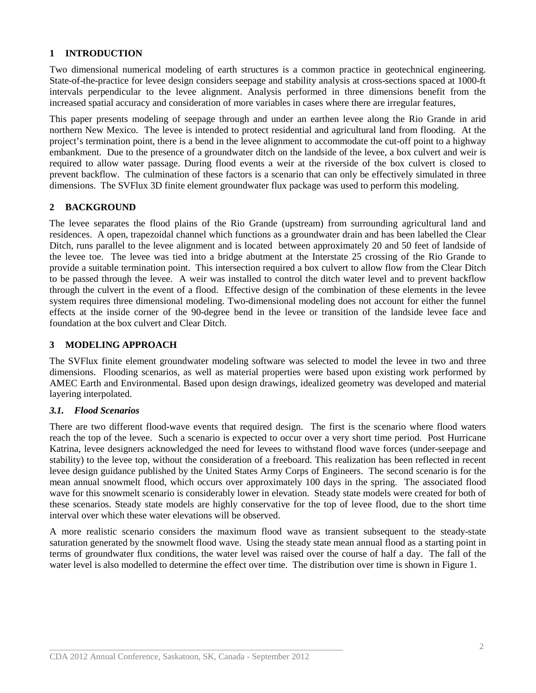# **1 INTRODUCTION**

Two dimensional numerical modeling of earth structures is a common practice in geotechnical engineering. State-of-the-practice for levee design considers seepage and stability analysis at cross-sections spaced at 1000-ft intervals perpendicular to the levee alignment. Analysis performed in three dimensions benefit from the increased spatial accuracy and consideration of more variables in cases where there are irregular features,

This paper presents modeling of seepage through and under an earthen levee along the Rio Grande in arid northern New Mexico. The levee is intended to protect residential and agricultural land from flooding. At the project's termination point, there is a bend in the levee alignment to accommodate the cut-off point to a highway embankment. Due to the presence of a groundwater ditch on the landside of the levee, a box culvert and weir is required to allow water passage. During flood events a weir at the riverside of the box culvert is closed to prevent backflow. The culmination of these factors is a scenario that can only be effectively simulated in three dimensions. The SVFlux 3D finite element groundwater flux package was used to perform this modeling.

# **2 BACKGROUND**

The levee separates the flood plains of the Rio Grande (upstream) from surrounding agricultural land and residences. A open, trapezoidal channel which functions as a groundwater drain and has been labelled the Clear Ditch, runs parallel to the levee alignment and is located between approximately 20 and 50 feet of landside of the levee toe. The levee was tied into a bridge abutment at the Interstate 25 crossing of the Rio Grande to provide a suitable termination point. This intersection required a box culvert to allow flow from the Clear Ditch to be passed through the levee. A weir was installed to control the ditch water level and to prevent backflow through the culvert in the event of a flood. Effective design of the combination of these elements in the levee system requires three dimensional modeling. Two-dimensional modeling does not account for either the funnel effects at the inside corner of the 90-degree bend in the levee or transition of the landside levee face and foundation at the box culvert and Clear Ditch.

## **3 MODELING APPROACH**

The SVFlux finite element groundwater modeling software was selected to model the levee in two and three dimensions. Flooding scenarios, as well as material properties were based upon existing work performed by AMEC Earth and Environmental. Based upon design drawings, idealized geometry was developed and material layering interpolated.

### *3.1. Flood Scenarios*

There are two different flood-wave events that required design. The first is the scenario where flood waters reach the top of the levee. Such a scenario is expected to occur over a very short time period. Post Hurricane Katrina, levee designers acknowledged the need for levees to withstand flood wave forces (under-seepage and stability) to the levee top, without the consideration of a freeboard. This realization has been reflected in recent levee design guidance published by the United States Army Corps of Engineers. The second scenario is for the mean annual snowmelt flood, which occurs over approximately 100 days in the spring. The associated flood wave for this snowmelt scenario is considerably lower in elevation. Steady state models were created for both of these scenarios. Steady state models are highly conservative for the top of levee flood, due to the short time interval over which these water elevations will be observed.

A more realistic scenario considers the maximum flood wave as transient subsequent to the steady-state saturation generated by the snowmelt flood wave. Using the steady state mean annual flood as a starting point in terms of groundwater flux conditions, the water level was raised over the course of half a day. The fall of the water level is also modelled to determine the effect over time. The distribution over time is shown in [Figure 1.](#page-2-0)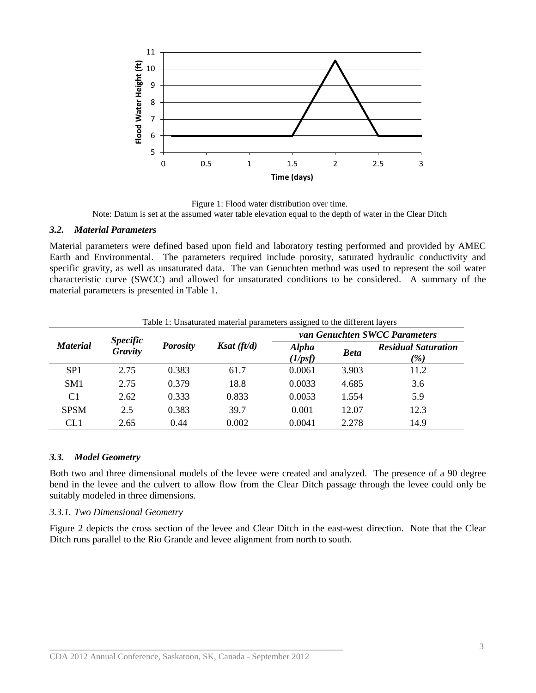

Figure 1: Flood water distribution over time. Note: Datum is set at the assumed water table elevation equal to the depth of water in the Clear Ditch

#### <span id="page-2-0"></span>*3.2. Material Parameters*

Material parameters were defined based upon field and laboratory testing performed and provided by AMEC Earth and Environmental. The parameters required include porosity, saturated hydraulic conductivity and specific gravity, as well as unsaturated data. The van Genuchten method was used to represent the soil water characteristic curve (SWCC) and allowed for unsaturated conditions to be considered. A summary of the material parameters is presented in Table 1.

| Table 1: Unsaturated material parameters assigned to the different layers |                                   |                 |               |                               |             |                                               |
|---------------------------------------------------------------------------|-----------------------------------|-----------------|---------------|-------------------------------|-------------|-----------------------------------------------|
| <b>Material</b>                                                           | <b>Specific</b><br><b>Gravity</b> | <b>Porosity</b> | Ksat $(ft/d)$ | van Genuchten SWCC Parameters |             |                                               |
|                                                                           |                                   |                 |               | <b>Alpha</b><br>(1/psf)       | <b>Beta</b> | <b>Residual Saturation</b><br>$\frac{\%}{\%}$ |
| SP <sub>1</sub>                                                           | 2.75                              | 0.383           | 61.7          | 0.0061                        | 3.903       | 11.2                                          |
| SM <sub>1</sub>                                                           | 2.75                              | 0.379           | 18.8          | 0.0033                        | 4.685       | 3.6                                           |
| C <sub>1</sub>                                                            | 2.62                              | 0.333           | 0.833         | 0.0053                        | 1.554       | 5.9                                           |
| <b>SPSM</b>                                                               | 2.5                               | 0.383           | 39.7          | 0.001                         | 12.07       | 12.3                                          |
| CL1                                                                       | 2.65                              | 0.44            | 0.002         | 0.0041                        | 2.278       | 14.9                                          |

#### *3.3. Model Geometry*

Both two and three dimensional models of the levee were created and analyzed. The presence of a 90 degree bend in the levee and the culvert to allow flow from the Clear Ditch passage through the levee could only be suitably modeled in three dimensions.

#### *3.3.1. Two Dimensional Geometry*

[Figure 2](#page-3-0) depicts the cross section of the levee and Clear Ditch in the east-west direction. Note that the Clear Ditch runs parallel to the Rio Grande and levee alignment from north to south.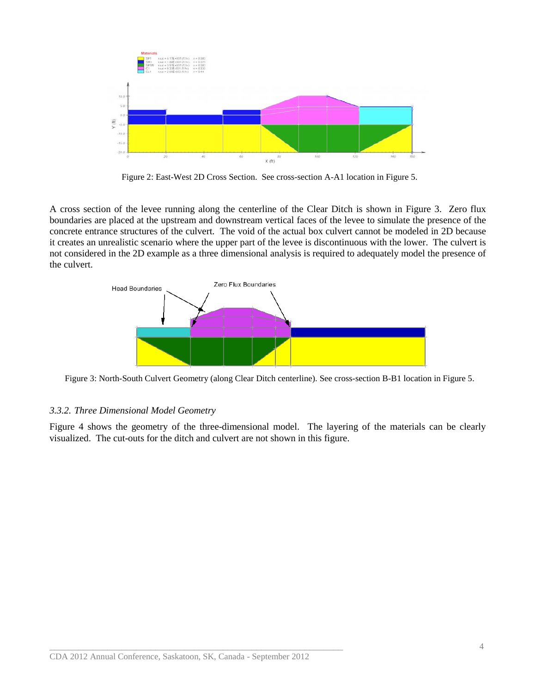

Figure 2: East-West 2D Cross Section. See cross-section A-A1 location in Figure 5.

<span id="page-3-0"></span>A cross section of the levee running along the centerline of the Clear Ditch is shown in Figure 3. Zero flux boundaries are placed at the upstream and downstream vertical faces of the levee to simulate the presence of the concrete entrance structures of the culvert. The void of the actual box culvert cannot be modeled in 2D because it creates an unrealistic scenario where the upper part of the levee is discontinuous with the lower. The culvert is not considered in the 2D example as a three dimensional analysis is required to adequately model the presence of the culvert.



Figure 3: North-South Culvert Geometry (along Clear Ditch centerline). See cross-section B-B1 location in Figure 5.

### *3.3.2. Three Dimensional Model Geometry*

Figure 4 shows the geometry of the three-dimensional model. The layering of the materials can be clearly visualized. The cut-outs for the ditch and culvert are not shown in this figure.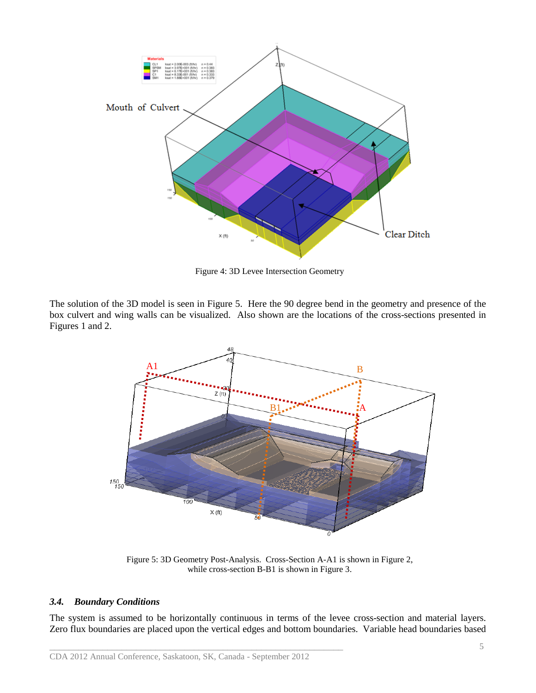

Figure 4: 3D Levee Intersection Geometry

The solution of the 3D model is seen in Figure 5. Here the 90 degree bend in the geometry and presence of the box culvert and wing walls can be visualized. Also shown are the locations of the cross-sections presented in Figures 1 and 2.



Figure 5: 3D Geometry Post-Analysis. Cross-Section A-A1 is shown in Figure 2, while cross-section B-B1 is shown in Figure 3.

### *3.4. Boundary Conditions*

The system is assumed to be horizontally continuous in terms of the levee cross-section and material layers. Zero flux boundaries are placed upon the vertical edges and bottom boundaries. Variable head boundaries based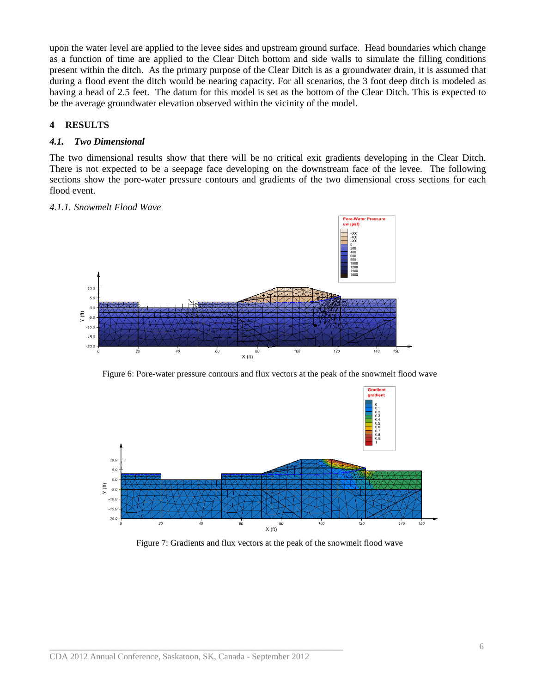upon the water level are applied to the levee sides and upstream ground surface. Head boundaries which change as a function of time are applied to the Clear Ditch bottom and side walls to simulate the filling conditions present within the ditch. As the primary purpose of the Clear Ditch is as a groundwater drain, it is assumed that during a flood event the ditch would be nearing capacity. For all scenarios, the 3 foot deep ditch is modeled as having a head of 2.5 feet. The datum for this model is set as the bottom of the Clear Ditch. This is expected to be the average groundwater elevation observed within the vicinity of the model.

# **4 RESULTS**

### *4.1. Two Dimensional*

The two dimensional results show that there will be no critical exit gradients developing in the Clear Ditch. There is not expected to be a seepage face developing on the downstream face of the levee. The following sections show the pore-water pressure contours and gradients of the two dimensional cross sections for each flood event.

### *4.1.1. Snowmelt Flood Wave*



Figure 6: Pore-water pressure contours and flux vectors at the peak of the snowmelt flood wave



Figure 7: Gradients and flux vectors at the peak of the snowmelt flood wave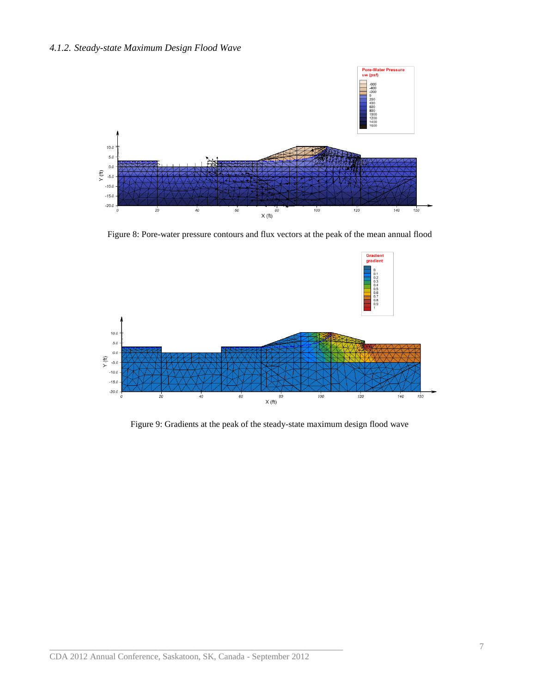### *4.1.2. Steady-state Maximum Design Flood Wave*



Figure 8: Pore-water pressure contours and flux vectors at the peak of the mean annual flood



Figure 9: Gradients at the peak of the steady-state maximum design flood wave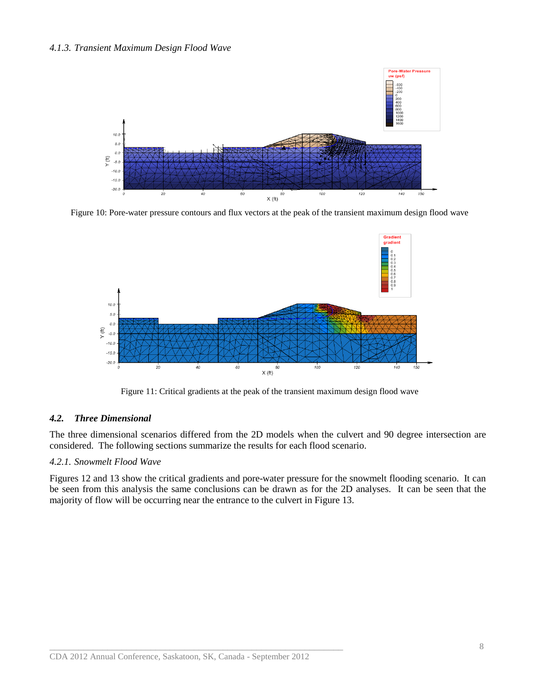#### *4.1.3. Transient Maximum Design Flood Wave*



Figure 10: Pore-water pressure contours and flux vectors at the peak of the transient maximum design flood wave



Figure 11: Critical gradients at the peak of the transient maximum design flood wave

### *4.2. Three Dimensional*

The three dimensional scenarios differed from the 2D models when the culvert and 90 degree intersection are considered. The following sections summarize the results for each flood scenario.

### *4.2.1. Snowmelt Flood Wave*

Figures 12 and 13 show the critical gradients and pore-water pressure for the snowmelt flooding scenario. It can be seen from this analysis the same conclusions can be drawn as for the 2D analyses. It can be seen that the majority of flow will be occurring near the entrance to the culvert in Figure 13.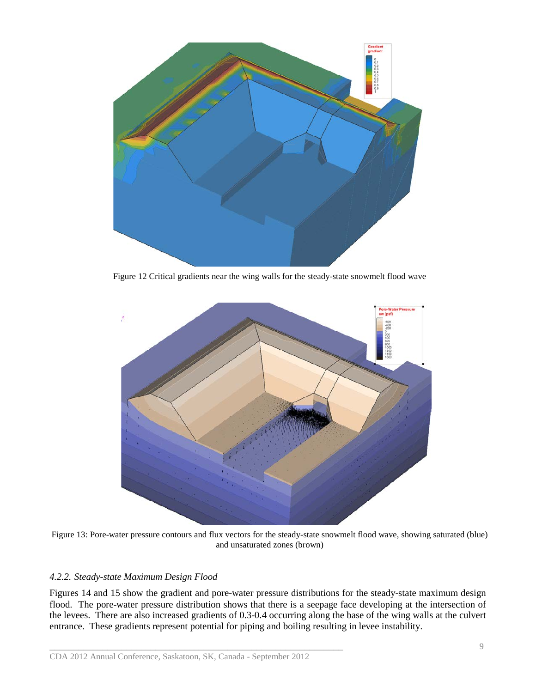

Figure 12 Critical gradients near the wing walls for the steady-state snowmelt flood wave



Figure 13: Pore-water pressure contours and flux vectors for the steady-state snowmelt flood wave, showing saturated (blue) and unsaturated zones (brown)

# *4.2.2. Steady-state Maximum Design Flood*

Figures 14 and 15 show the gradient and pore-water pressure distributions for the steady-state maximum design flood. The pore-water pressure distribution shows that there is a seepage face developing at the intersection of the levees. There are also increased gradients of 0.3-0.4 occurring along the base of the wing walls at the culvert entrance. These gradients represent potential for piping and boiling resulting in levee instability.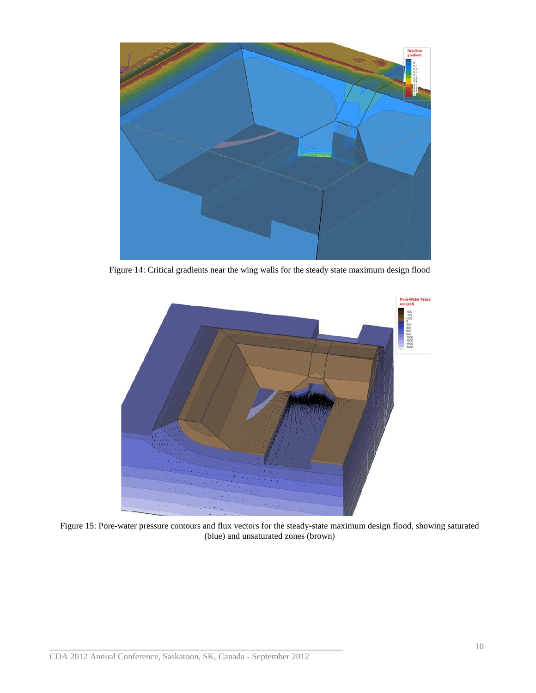

Figure 14: Critical gradients near the wing walls for the steady state maximum design flood



Figure 15: Pore-water pressure contours and flux vectors for the steady-state maximum design flood, showing saturated (blue) and unsaturated zones (brown)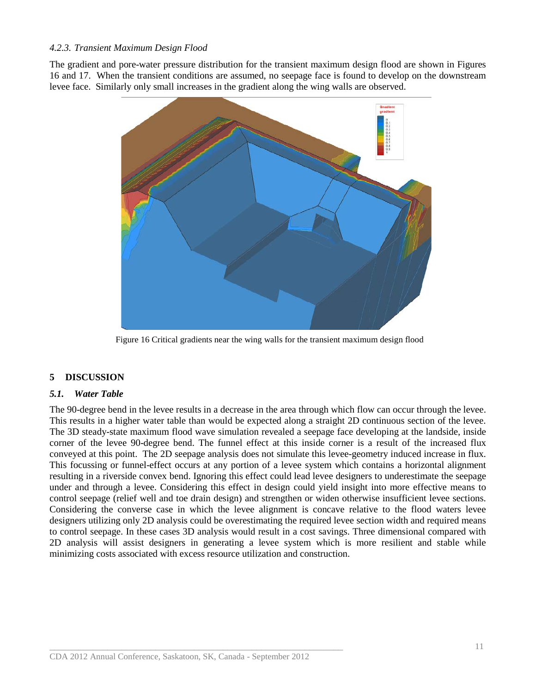### *4.2.3. Transient Maximum Design Flood*

The gradient and pore-water pressure distribution for the transient maximum design flood are shown in Figures 16 and 17. When the transient conditions are assumed, no seepage face is found to develop on the downstream levee face. Similarly only small increases in the gradient along the wing walls are observed.



Figure 16 Critical gradients near the wing walls for the transient maximum design flood

# **5 DISCUSSION**

### *5.1. Water Table*

The 90-degree bend in the levee results in a decrease in the area through which flow can occur through the levee. This results in a higher water table than would be expected along a straight 2D continuous section of the levee. The 3D steady-state maximum flood wave simulation revealed a seepage face developing at the landside, inside corner of the levee 90-degree bend. The funnel effect at this inside corner is a result of the increased flux conveyed at this point. The 2D seepage analysis does not simulate this levee-geometry induced increase in flux. This focussing or funnel-effect occurs at any portion of a levee system which contains a horizontal alignment resulting in a riverside convex bend. Ignoring this effect could lead levee designers to underestimate the seepage under and through a levee. Considering this effect in design could yield insight into more effective means to control seepage (relief well and toe drain design) and strengthen or widen otherwise insufficient levee sections. Considering the converse case in which the levee alignment is concave relative to the flood waters levee designers utilizing only 2D analysis could be overestimating the required levee section width and required means to control seepage. In these cases 3D analysis would result in a cost savings. Three dimensional compared with 2D analysis will assist designers in generating a levee system which is more resilient and stable while minimizing costs associated with excess resource utilization and construction.